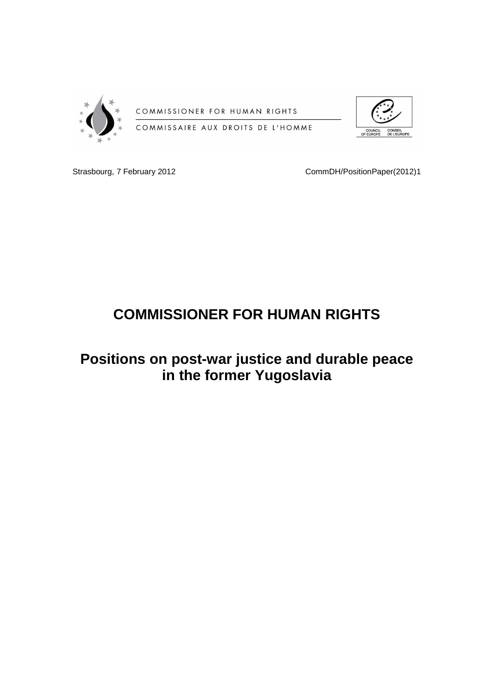

COMMISSIONER FOR HUMAN RIGHTS



COMMISSAIRE AUX DROITS DE L'HOMME

Strasbourg, 7 February 2012 **CommDH/PositionPaper**(2012)1

# **COMMISSIONER FOR HUMAN RIGHTS**

# **Positions on post-war justice and durable peace in the former Yugoslavia**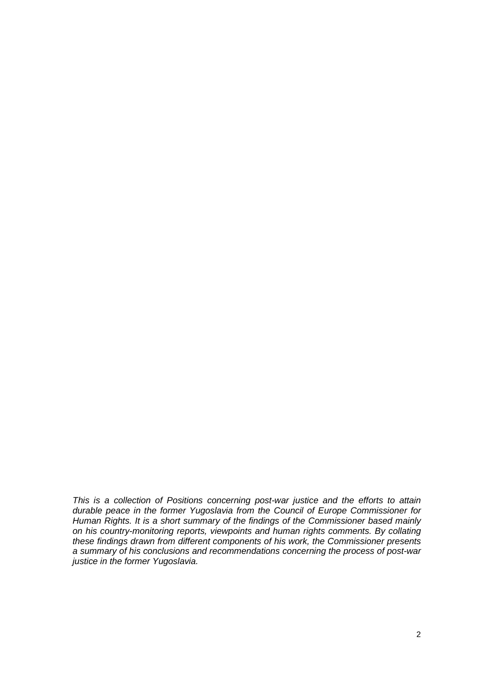This is a collection of Positions concerning post-war justice and the efforts to attain durable peace in the former Yugoslavia from the Council of Europe Commissioner for Human Rights. It is a short summary of the findings of the Commissioner based mainly on his country-monitoring reports, viewpoints and human rights comments. By collating these findings drawn from different components of his work, the Commissioner presents a summary of his conclusions and recommendations concerning the process of post-war justice in the former Yugoslavia.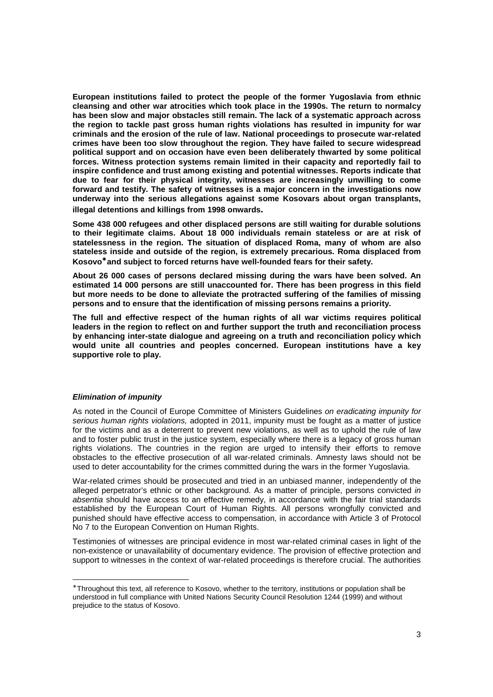**European institutions failed to protect the people of the former Yugoslavia from ethnic cleansing and other war atrocities which took place in the 1990s. The return to normalcy has been slow and major obstacles still remain. The lack of a systematic approach across the region to tackle past gross human rights violations has resulted in impunity for war criminals and the erosion of the rule of law. National proceedings to prosecute war-related crimes have been too slow throughout the region. They have failed to secure widespread political support and on occasion have even been deliberately thwarted by some political forces. Witness protection systems remain limited in their capacity and reportedly fail to inspire confidence and trust among existing and potential witnesses. Reports indicate that due to fear for their physical integrity, witnesses are increasingly unwilling to come forward and testify. The safety of witnesses is a major concern in the investigations now underway into the serious allegations against some Kosovars about organ transplants, illegal detentions and killings from 1998 onwards.**

**Some 438 000 refugees and other displaced persons are still waiting for durable solutions to their legitimate claims. About 18 000 individuals remain stateless or are at risk of statelessness in the region. The situation of displaced Roma, many of whom are also stateless inside and outside of the region, is extremely precarious. Roma displaced from Kosovo**<sup>∗</sup> **and subject to forced returns have well-founded fears for their safety.** 

**About 26 000 cases of persons declared missing during the wars have been solved. An estimated 14 000 persons are still unaccounted for. There has been progress in this field but more needs to be done to alleviate the protracted suffering of the families of missing persons and to ensure that the identification of missing persons remains a priority.** 

**The full and effective respect of the human rights of all war victims requires political leaders in the region to reflect on and further support the truth and reconciliation process by enhancing inter-state dialogue and agreeing on a truth and reconciliation policy which would unite all countries and peoples concerned. European institutions have a key supportive role to play.** 

# **Elimination of impunity**

-

As noted in the Council of Europe Committee of Ministers Guidelines on eradicating impunity for serious human rights violations, adopted in 2011, impunity must be fought as a matter of justice for the victims and as a deterrent to prevent new violations, as well as to uphold the rule of law and to foster public trust in the justice system, especially where there is a legacy of gross human rights violations. The countries in the region are urged to intensify their efforts to remove obstacles to the effective prosecution of all war-related criminals. Amnesty laws should not be used to deter accountability for the crimes committed during the wars in the former Yugoslavia.

War-related crimes should be prosecuted and tried in an unbiased manner, independently of the alleged perpetrator's ethnic or other background. As a matter of principle, persons convicted in absentia should have access to an effective remedy, in accordance with the fair trial standards established by the European Court of Human Rights. All persons wrongfully convicted and punished should have effective access to compensation, in accordance with Article 3 of Protocol No 7 to the European Convention on Human Rights.

Testimonies of witnesses are principal evidence in most war-related criminal cases in light of the non-existence or unavailability of documentary evidence. The provision of effective protection and support to witnesses in the context of war-related proceedings is therefore crucial. The authorities

<sup>∗</sup> Throughout this text, all reference to Kosovo, whether to the territory, institutions or population shall be understood in full compliance with United Nations Security Council Resolution 1244 (1999) and without prejudice to the status of Kosovo.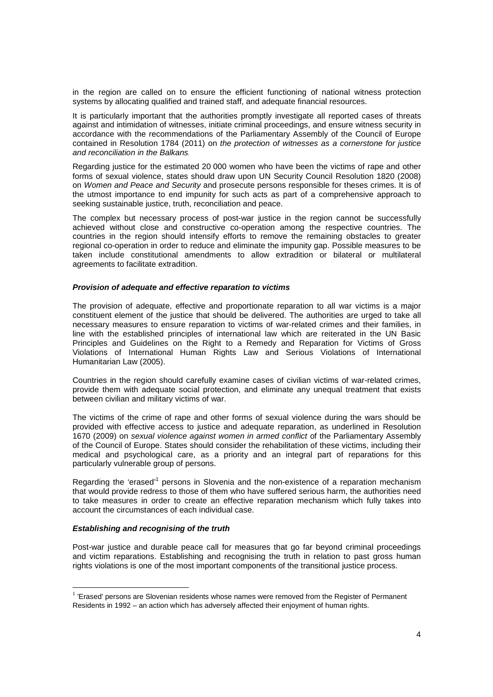in the region are called on to ensure the efficient functioning of national witness protection systems by allocating qualified and trained staff, and adequate financial resources.

It is particularly important that the authorities promptly investigate all reported cases of threats against and intimidation of witnesses, initiate criminal proceedings, and ensure witness security in accordance with the recommendations of the Parliamentary Assembly of the Council of Europe contained in Resolution 1784 (2011) on the protection of witnesses as a cornerstone for justice and reconciliation in the Balkans*.* 

Regarding justice for the estimated 20 000 women who have been the victims of rape and other forms of sexual violence, states should draw upon UN Security Council Resolution 1820 (2008) on Women and Peace and Security and prosecute persons responsible for theses crimes. It is of the utmost importance to end impunity for such acts as part of a comprehensive approach to seeking sustainable justice, truth, reconciliation and peace.

The complex but necessary process of post-war justice in the region cannot be successfully achieved without close and constructive co-operation among the respective countries. The countries in the region should intensify efforts to remove the remaining obstacles to greater regional co-operation in order to reduce and eliminate the impunity gap. Possible measures to be taken include constitutional amendments to allow extradition or bilateral or multilateral agreements to facilitate extradition.

#### **Provision of adequate and effective reparation to victims**

The provision of adequate, effective and proportionate reparation to all war victims is a major constituent element of the justice that should be delivered. The authorities are urged to take all necessary measures to ensure reparation to victims of war-related crimes and their families, in line with the established principles of international law which are reiterated in the UN Basic Principles and Guidelines on the Right to a Remedy and Reparation for Victims of Gross Violations of International Human Rights Law and Serious Violations of International Humanitarian Law (2005).

Countries in the region should carefully examine cases of civilian victims of war-related crimes, provide them with adequate social protection, and eliminate any unequal treatment that exists between civilian and military victims of war.

The victims of the crime of rape and other forms of sexual violence during the wars should be provided with effective access to justice and adequate reparation, as underlined in Resolution 1670 (2009) on sexual violence against women in armed conflict of the Parliamentary Assembly of the Council of Europe. States should consider the rehabilitation of these victims, including their medical and psychological care, as a priority and an integral part of reparations for this particularly vulnerable group of persons.

Regarding the 'erased'<sup>1</sup> persons in Slovenia and the non-existence of a reparation mechanism that would provide redress to those of them who have suffered serious harm, the authorities need to take measures in order to create an effective reparation mechanism which fully takes into account the circumstances of each individual case.

# **Establishing and recognising of the truth**

-

Post-war justice and durable peace call for measures that go far beyond criminal proceedings and victim reparations. Establishing and recognising the truth in relation to past gross human rights violations is one of the most important components of the transitional justice process.

<sup>&</sup>lt;sup>1</sup> 'Erased' persons are Slovenian residents whose names were removed from the Register of Permanent Residents in 1992 – an action which has adversely affected their enjoyment of human rights.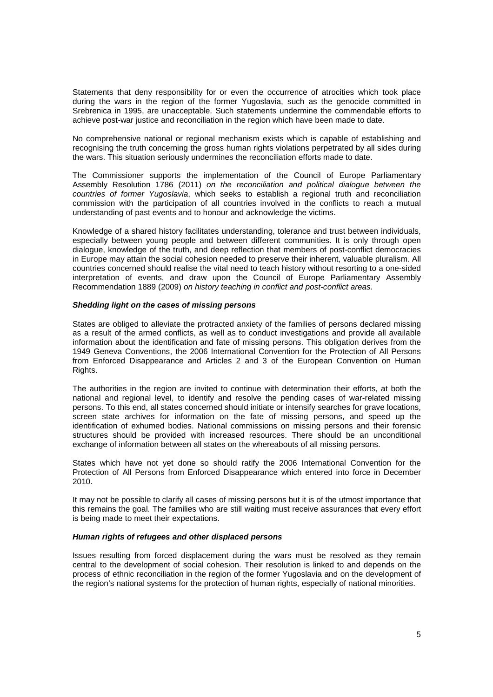Statements that deny responsibility for or even the occurrence of atrocities which took place during the wars in the region of the former Yugoslavia, such as the genocide committed in Srebrenica in 1995, are unacceptable. Such statements undermine the commendable efforts to achieve post-war justice and reconciliation in the region which have been made to date.

No comprehensive national or regional mechanism exists which is capable of establishing and recognising the truth concerning the gross human rights violations perpetrated by all sides during the wars. This situation seriously undermines the reconciliation efforts made to date.

The Commissioner supports the implementation of the Council of Europe Parliamentary Assembly Resolution 1786 (2011) on the reconciliation and political dialogue between the countries of former Yugoslavia, which seeks to establish a regional truth and reconciliation commission with the participation of all countries involved in the conflicts to reach a mutual understanding of past events and to honour and acknowledge the victims.

Knowledge of a shared history facilitates understanding, tolerance and trust between individuals, especially between young people and between different communities. It is only through open dialogue, knowledge of the truth, and deep reflection that members of post-conflict democracies in Europe may attain the social cohesion needed to preserve their inherent, valuable pluralism. All countries concerned should realise the vital need to teach history without resorting to a one-sided interpretation of events, and draw upon the Council of Europe Parliamentary Assembly Recommendation 1889 (2009) on history teaching in conflict and post-conflict areas.

#### **Shedding light on the cases of missing persons**

States are obliged to alleviate the protracted anxiety of the families of persons declared missing as a result of the armed conflicts, as well as to conduct investigations and provide all available information about the identification and fate of missing persons. This obligation derives from the 1949 Geneva Conventions, the 2006 International Convention for the Protection of All Persons from Enforced Disappearance and Articles 2 and 3 of the European Convention on Human Rights.

The authorities in the region are invited to continue with determination their efforts, at both the national and regional level, to identify and resolve the pending cases of war-related missing persons. To this end, all states concerned should initiate or intensify searches for grave locations, screen state archives for information on the fate of missing persons, and speed up the identification of exhumed bodies. National commissions on missing persons and their forensic structures should be provided with increased resources. There should be an unconditional exchange of information between all states on the whereabouts of all missing persons.

States which have not yet done so should ratify the 2006 International Convention for the Protection of All Persons from Enforced Disappearance which entered into force in December 2010.

It may not be possible to clarify all cases of missing persons but it is of the utmost importance that this remains the goal. The families who are still waiting must receive assurances that every effort is being made to meet their expectations.

# **Human rights of refugees and other displaced persons**

Issues resulting from forced displacement during the wars must be resolved as they remain central to the development of social cohesion. Their resolution is linked to and depends on the process of ethnic reconciliation in the region of the former Yugoslavia and on the development of the region's national systems for the protection of human rights, especially of national minorities.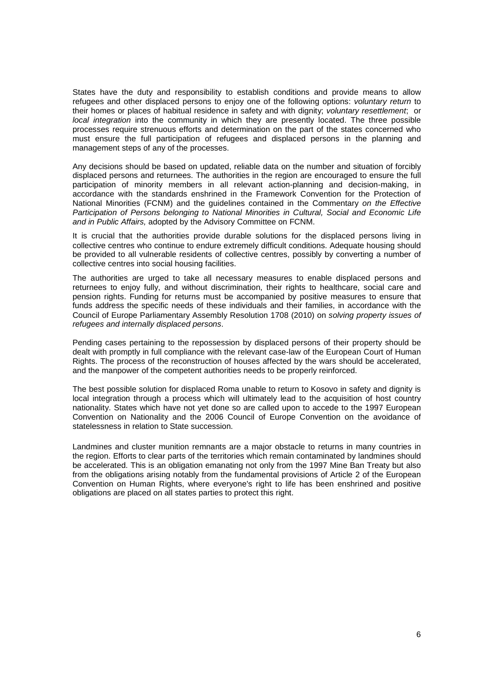States have the duty and responsibility to establish conditions and provide means to allow refugees and other displaced persons to enjoy one of the following options: voluntary return to their homes or places of habitual residence in safety and with dignity; voluntary resettlement; or local integration into the community in which they are presently located. The three possible processes require strenuous efforts and determination on the part of the states concerned who must ensure the full participation of refugees and displaced persons in the planning and management steps of any of the processes.

Any decisions should be based on updated, reliable data on the number and situation of forcibly displaced persons and returnees. The authorities in the region are encouraged to ensure the full participation of minority members in all relevant action-planning and decision-making, in accordance with the standards enshrined in the Framework Convention for the Protection of National Minorities (FCNM) and the guidelines contained in the Commentary on the Effective Participation of Persons belonging to National Minorities in Cultural, Social and Economic Life and in Public Affairs, adopted by the Advisory Committee on FCNM.

It is crucial that the authorities provide durable solutions for the displaced persons living in collective centres who continue to endure extremely difficult conditions. Adequate housing should be provided to all vulnerable residents of collective centres, possibly by converting a number of collective centres into social housing facilities.

The authorities are urged to take all necessary measures to enable displaced persons and returnees to enjoy fully, and without discrimination, their rights to healthcare, social care and pension rights. Funding for returns must be accompanied by positive measures to ensure that funds address the specific needs of these individuals and their families, in accordance with the Council of Europe Parliamentary Assembly Resolution 1708 (2010) on solving property issues of refugees and internally displaced persons.

Pending cases pertaining to the repossession by displaced persons of their property should be dealt with promptly in full compliance with the relevant case-law of the European Court of Human Rights. The process of the reconstruction of houses affected by the wars should be accelerated, and the manpower of the competent authorities needs to be properly reinforced.

The best possible solution for displaced Roma unable to return to Kosovo in safety and dignity is local integration through a process which will ultimately lead to the acquisition of host country nationality. States which have not yet done so are called upon to accede to the 1997 European Convention on Nationality and the 2006 Council of Europe Convention on the avoidance of statelessness in relation to State succession.

Landmines and cluster munition remnants are a major obstacle to returns in many countries in the region. Efforts to clear parts of the territories which remain contaminated by landmines should be accelerated. This is an obligation emanating not only from the 1997 Mine Ban Treaty but also from the obligations arising notably from the fundamental provisions of Article 2 of the European Convention on Human Rights, where everyone's right to life has been enshrined and positive obligations are placed on all states parties to protect this right.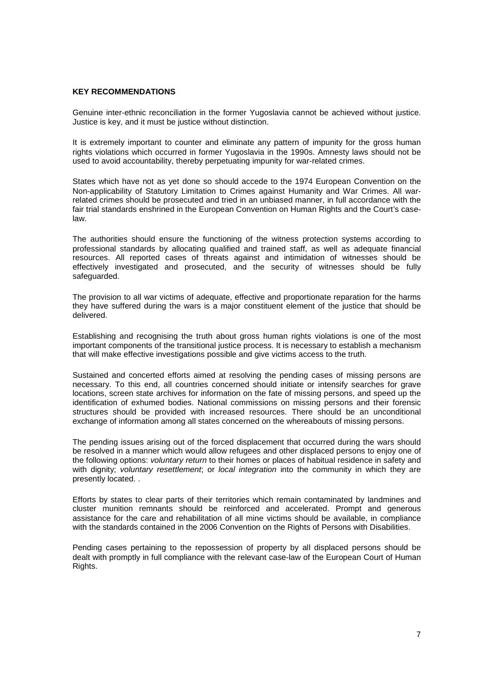#### **KEY RECOMMENDATIONS**

Genuine inter-ethnic reconciliation in the former Yugoslavia cannot be achieved without justice. Justice is key, and it must be justice without distinction.

It is extremely important to counter and eliminate any pattern of impunity for the gross human rights violations which occurred in former Yugoslavia in the 1990s. Amnesty laws should not be used to avoid accountability, thereby perpetuating impunity for war-related crimes.

States which have not as yet done so should accede to the 1974 European Convention on the Non-applicability of Statutory Limitation to Crimes against Humanity and War Crimes. All warrelated crimes should be prosecuted and tried in an unbiased manner, in full accordance with the fair trial standards enshrined in the European Convention on Human Rights and the Court's caselaw.

The authorities should ensure the functioning of the witness protection systems according to professional standards by allocating qualified and trained staff, as well as adequate financial resources. All reported cases of threats against and intimidation of witnesses should be effectively investigated and prosecuted, and the security of witnesses should be fully safeguarded.

The provision to all war victims of adequate, effective and proportionate reparation for the harms they have suffered during the wars is a major constituent element of the justice that should be delivered.

Establishing and recognising the truth about gross human rights violations is one of the most important components of the transitional justice process. It is necessary to establish a mechanism that will make effective investigations possible and give victims access to the truth.

Sustained and concerted efforts aimed at resolving the pending cases of missing persons are necessary. To this end, all countries concerned should initiate or intensify searches for grave locations, screen state archives for information on the fate of missing persons, and speed up the identification of exhumed bodies. National commissions on missing persons and their forensic structures should be provided with increased resources. There should be an unconditional exchange of information among all states concerned on the whereabouts of missing persons.

The pending issues arising out of the forced displacement that occurred during the wars should be resolved in a manner which would allow refugees and other displaced persons to enjoy one of the following options: voluntary return to their homes or places of habitual residence in safety and with dignity; voluntary resettlement; or local integration into the community in which they are presently located. .

Efforts by states to clear parts of their territories which remain contaminated by landmines and cluster munition remnants should be reinforced and accelerated. Prompt and generous assistance for the care and rehabilitation of all mine victims should be available, in compliance with the standards contained in the 2006 Convention on the Rights of Persons with Disabilities.

Pending cases pertaining to the repossession of property by all displaced persons should be dealt with promptly in full compliance with the relevant case-law of the European Court of Human Rights.